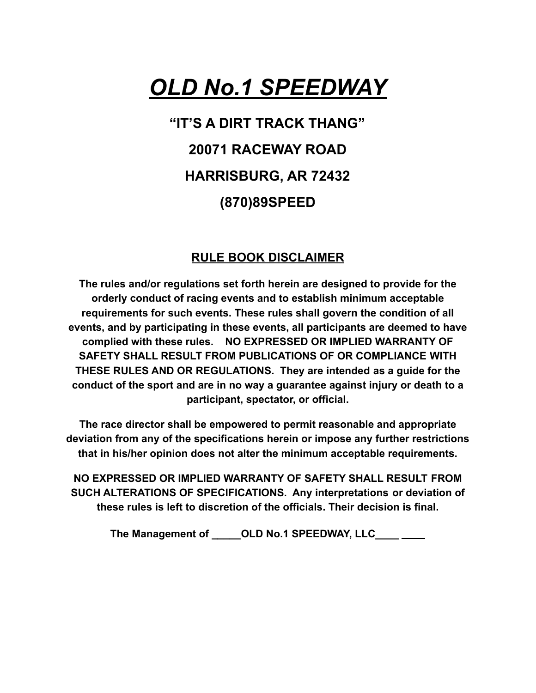# *OLD No.1 SPEEDWAY*

## **"IT'S A DIRT TRACK THANG" 20071 RACEWAY ROAD HARRISBURG, AR 72432 (870)89SPEED**

#### **RULE BOOK DISCLAIMER**

**The rules and/or regulations set forth herein are designed to provide for the orderly conduct of racing events and to establish minimum acceptable requirements for such events. These rules shall govern the condition of all events, and by participating in these events, all participants are deemed to have complied with these rules. NO EXPRESSED OR IMPLIED WARRANTY OF SAFETY SHALL RESULT FROM PUBLICATIONS OF OR COMPLIANCE WITH THESE RULES AND OR REGULATIONS. They are intended as a guide for the conduct of the sport and are in no way a guarantee against injury or death to a participant, spectator, or official.**

**The race director shall be empowered to permit reasonable and appropriate deviation from any of the specifications herein or impose any further restrictions that in his/her opinion does not alter the minimum acceptable requirements.**

**NO EXPRESSED OR IMPLIED WARRANTY OF SAFETY SHALL RESULT FROM SUCH ALTERATIONS OF SPECIFICATIONS. Any interpretations or deviation of these rules is left to discretion of the officials. Their decision is final.**

**The Management of \_\_\_\_\_OLD No.1 SPEEDWAY, LLC\_\_\_\_**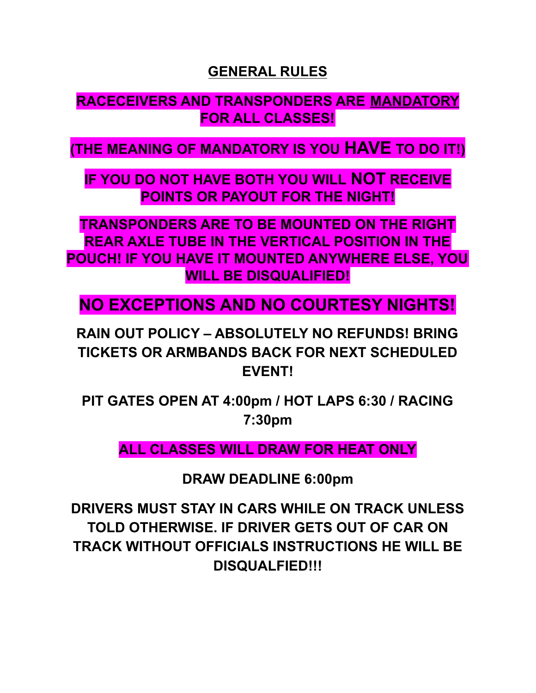#### **GENERAL RULES**

### **RACECEIVERS AND TRANSPONDERS ARE MANDATORY FOR ALL CLASSES!**

**(THE MEANING OF MANDATORY IS YOU HAVE TO DO IT!)**

**IF YOU DO NOT HAVE BOTH YOU WILL NOT RECEIVE POINTS OR PAYOUT FOR THE NIGHT!**

**TRANSPONDERS ARE TO BE MOUNTED ON THE RIGHT REAR AXLE TUBE IN THE VERTICAL POSITION IN THE POUCH! IF YOU HAVE IT MOUNTED ANYWHERE ELSE, YOU WILL BE DISQUALIFIED!**

**NO EXCEPTIONS AND NO COURTESY NIGHTS!**

**RAIN OUT POLICY – ABSOLUTELY NO REFUNDS! BRING TICKETS OR ARMBANDS BACK FOR NEXT SCHEDULED EVENT!**

**PIT GATES OPEN AT 4:00pm / HOT LAPS 6:30 / RACING 7:30pm**

**ALL CLASSES WILL DRAW FOR HEAT ONLY**

**DRAW DEADLINE 6:00pm**

**DRIVERS MUST STAY IN CARS WHILE ON TRACK UNLESS TOLD OTHERWISE. IF DRIVER GETS OUT OF CAR ON TRACK WITHOUT OFFICIALS INSTRUCTIONS HE WILL BE DISQUALFIED!!!**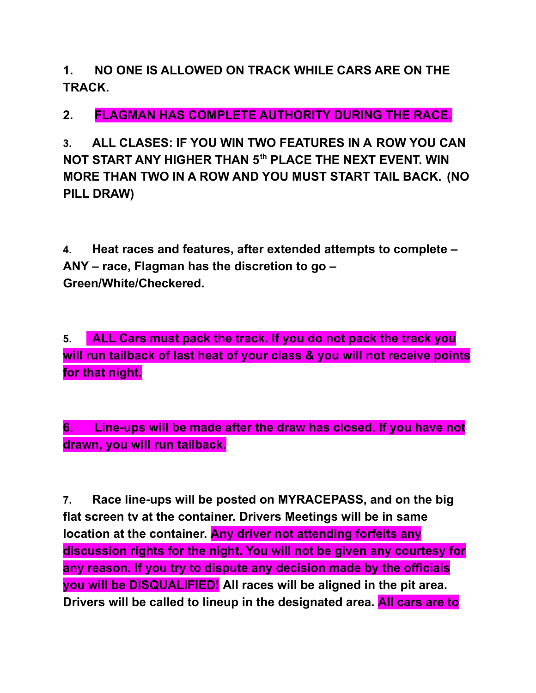**1. NO ONE IS ALLOWED ON TRACK WHILE CARS ARE ON THE TRACK.**

**2. FLAGMAN HAS COMPLETE AUTHORITY DURING THE RACE.**

**3. ALL CLASES: IF YOU WIN TWO FEATURES IN A ROW YOU CAN NOT START ANY HIGHER THAN 5 th PLACE THE NEXT EVENT. WIN MORE THAN TWO IN A ROW AND YOU MUST START TAIL BACK. (NO PILL DRAW)**

**4. Heat races and features, after extended attempts to complete – ANY – race, Flagman has the discretion to go – Green/White/Checkered.**

**5. ALL Cars must pack the track. If you do not pack the track you will run tailback of last heat of your class & you will not receive points for that night.**

**6. Line-ups will be made after the draw has closed. If you have not drawn, you will run tailback.**

**7. Race line-ups will be posted on MYRACEPASS, and on the big flat screen tv at the container. Drivers Meetings will be in same location at the container. Any driver not attending forfeits any discussion rights for the night. You will not be given any courtesy for any reason. If you try to dispute any decision made by the officials you will be DISQUALIFIED! All races will be aligned in the pit area. Drivers will be called to lineup in the designated area. All cars are to**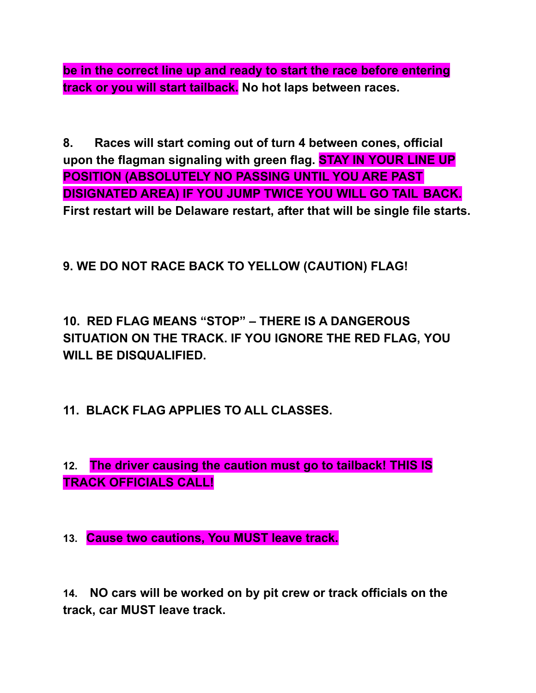**be in the correct line up and ready to start the race before entering track or you will start tailback. No hot laps between races.**

**8. Races will start coming out of turn 4 between cones, official upon the flagman signaling with green flag. STAY IN YOUR LINE UP POSITION (ABSOLUTELY NO PASSING UNTIL YOU ARE PAST DISIGNATED AREA) IF YOU JUMP TWICE YOU WILL GO TAIL BACK. First restart will be Delaware restart, after that will be single file starts.**

#### **9. WE DO NOT RACE BACK TO YELLOW (CAUTION) FLAG!**

**10. RED FLAG MEANS "STOP" – THERE IS A DANGEROUS SITUATION ON THE TRACK. IF YOU IGNORE THE RED FLAG, YOU WILL BE DISQUALIFIED.**

**11. BLACK FLAG APPLIES TO ALL CLASSES.**

**12. The driver causing the caution must go to tailback! THIS IS TRACK OFFICIALS CALL!**

**13. Cause two cautions, You MUST leave track.**

**14. NO cars will be worked on by pit crew or track officials on the track, car MUST leave track.**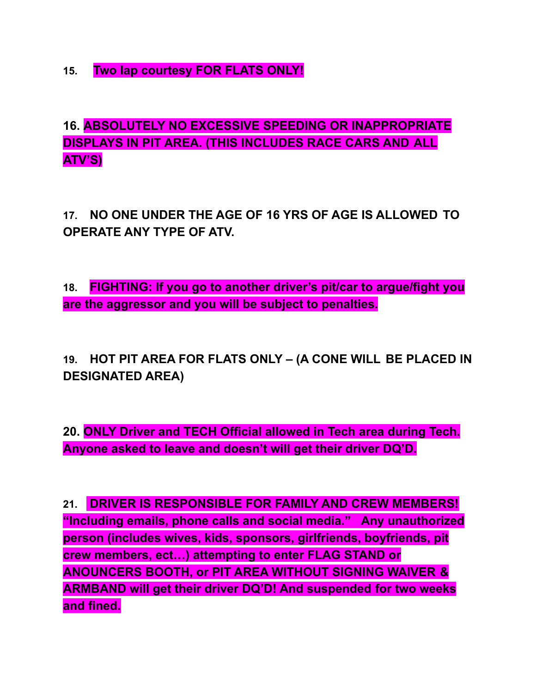**15. Two lap courtesy FOR FLATS ONLY!**

**16. ABSOLUTELY NO EXCESSIVE SPEEDING OR INAPPROPRIATE DISPLAYS IN PIT AREA. (THIS INCLUDES RACE CARS AND ALL ATV'S)**

**17. NO ONE UNDER THE AGE OF 16 YRS OF AGE IS ALLOWED TO OPERATE ANY TYPE OF ATV.**

**18. FIGHTING: If you go to another driver's pit/car to argue/fight you are the aggressor and you will be subject to penalties.**

**19. HOT PIT AREA FOR FLATS ONLY – (A CONE WILL BE PLACED IN DESIGNATED AREA)**

**20. ONLY Driver and TECH Official allowed in Tech area during Tech. Anyone asked to leave and doesn't will get their driver DQ'D.**

**21. DRIVER IS RESPONSIBLE FOR FAMILY AND CREW MEMBERS! "Including emails, phone calls and social media." Any unauthorized person (includes wives, kids, sponsors, girlfriends, boyfriends, pit crew members, ect…) attempting to enter FLAG STAND or ANOUNCERS BOOTH, or PIT AREA WITHOUT SIGNING WAIVER & ARMBAND will get their driver DQ'D! And suspended for two weeks and fined.**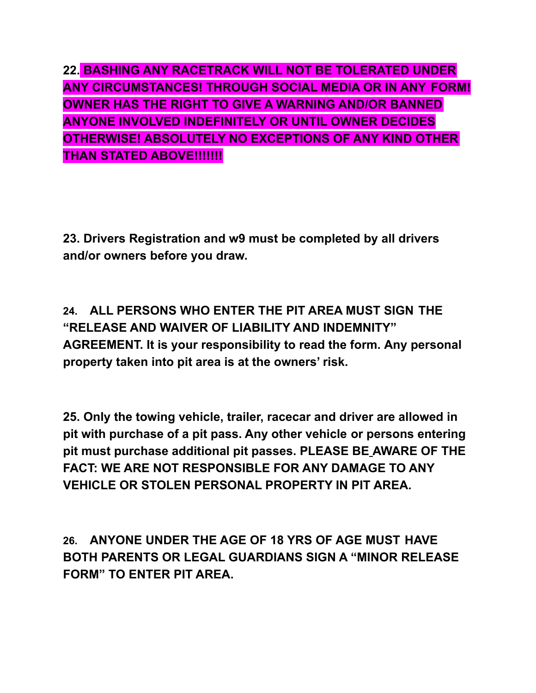**22. BASHING ANY RACETRACK WILL NOT BE TOLERATED UNDER ANY CIRCUMSTANCES! THROUGH SOCIAL MEDIA OR IN ANY FORM! OWNER HAS THE RIGHT TO GIVE A WARNING AND/OR BANNED ANYONE INVOLVED INDEFINITELY OR UNTIL OWNER DECIDES OTHERWISE! ABSOLUTELY NO EXCEPTIONS OF ANY KIND OTHER THAN STATED ABOVE!!!!!!!**

**23. Drivers Registration and w9 must be completed by all drivers and/or owners before you draw.**

**24. ALL PERSONS WHO ENTER THE PIT AREA MUST SIGN THE "RELEASE AND WAIVER OF LIABILITY AND INDEMNITY" AGREEMENT. It is your responsibility to read the form. Any personal property taken into pit area is at the owners' risk.**

**25. Only the towing vehicle, trailer, racecar and driver are allowed in pit with purchase of a pit pass. Any other vehicle or persons entering pit must purchase additional pit passes. PLEASE BE AWARE OF THE FACT: WE ARE NOT RESPONSIBLE FOR ANY DAMAGE TO ANY VEHICLE OR STOLEN PERSONAL PROPERTY IN PIT AREA.**

**26. ANYONE UNDER THE AGE OF 18 YRS OF AGE MUST HAVE BOTH PARENTS OR LEGAL GUARDIANS SIGN A "MINOR RELEASE FORM" TO ENTER PIT AREA.**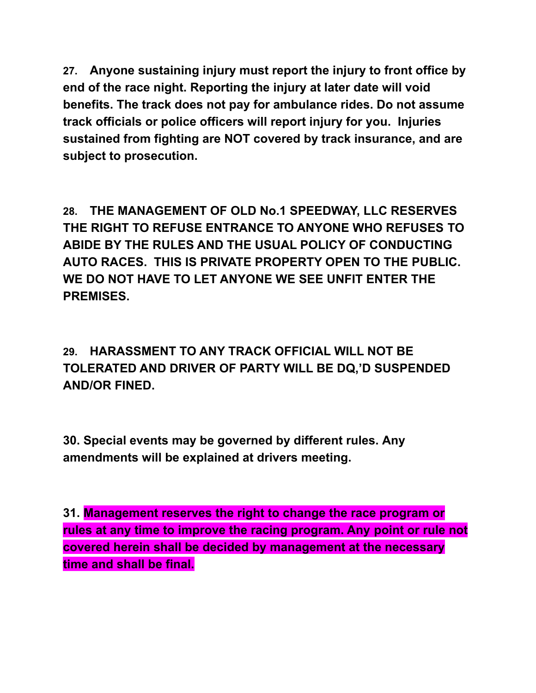**27. Anyone sustaining injury must report the injury to front office by end of the race night. Reporting the injury at later date will void benefits. The track does not pay for ambulance rides. Do not assume track officials or police officers will report injury for you. Injuries sustained from fighting are NOT covered by track insurance, and are subject to prosecution.**

**28. THE MANAGEMENT OF OLD No.1 SPEEDWAY, LLC RESERVES THE RIGHT TO REFUSE ENTRANCE TO ANYONE WHO REFUSES TO ABIDE BY THE RULES AND THE USUAL POLICY OF CONDUCTING AUTO RACES. THIS IS PRIVATE PROPERTY OPEN TO THE PUBLIC. WE DO NOT HAVE TO LET ANYONE WE SEE UNFIT ENTER THE PREMISES.**

**29. HARASSMENT TO ANY TRACK OFFICIAL WILL NOT BE TOLERATED AND DRIVER OF PARTY WILL BE DQ,'D SUSPENDED AND/OR FINED.**

**30. Special events may be governed by different rules. Any amendments will be explained at drivers meeting.**

**31. Management reserves the right to change the race program or rules at any time to improve the racing program. Any point or rule not covered herein shall be decided by management at the necessary time and shall be final.**